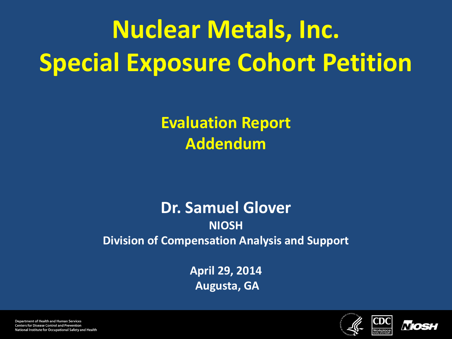# **Nuclear Metals, Inc. Special Exposure Cohort Petition**

**Evaluation Report Addendum** 

#### **Dr. Samuel Glover NIOSH Division of Compensation Analysis and Support**

**April 29, 2014 Augusta, GA** 





**Department of Health and Human Services Centers for Disease Control and Prevention** National Institute for Occupational Safety and Health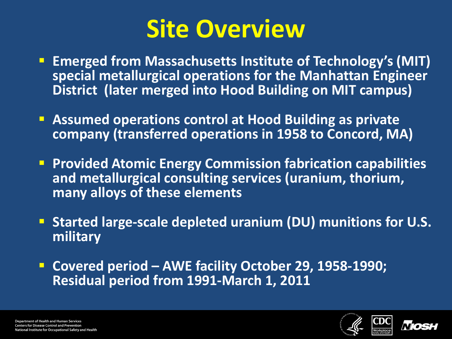## **Site Overview**

- **Emerged from Massachusetts Institute of Technology's (MIT) special metallurgical operations for the Manhattan Engineer District (later merged into Hood Building on MIT campus)**
- **Assumed operations control at Hood Building as private company (transferred operations in 1958 to Concord, MA)**
- **Provided Atomic Energy Commission fabrication capabilities and metallurgical consulting services (uranium, thorium, many alloys of these elements**
- **Started large-scale depleted uranium (DU) munitions for U.S. military**
- **Covered period AWE facility October 29, 1958-1990; Residual period from 1991-March 1, 2011**



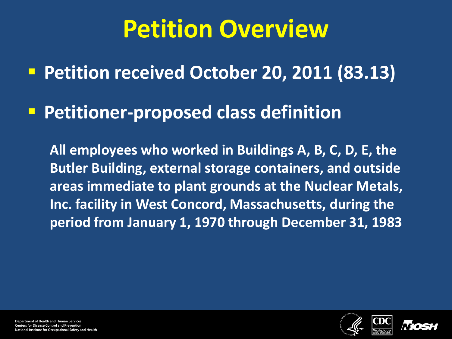## **Petition Overview**

**Petition received October 20, 2011 (83.13)**

**Petitioner-proposed class definition** 

**All employees who worked in Buildings A, B, C, D, E, the Butler Building, external storage containers, and outside areas immediate to plant grounds at the Nuclear Metals, Inc. facility in West Concord, Massachusetts, during the period from January 1, 1970 through December 31, 1983**





**Department of Health and Human Services Centers for Disease Control and Prevention** ational Institute for Occupational Safety and Health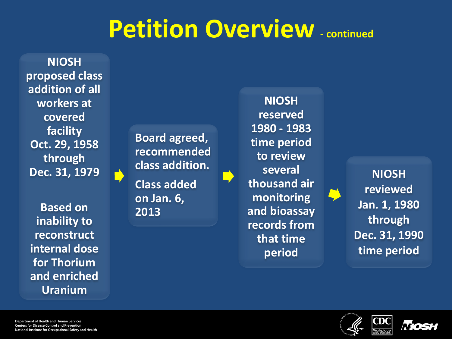### **Petition Overview - continued**

**NIOSH proposed class addition of all workers at covered facility Oct. 29, 1958 through Dec. 31, 1979**

**Based on inability to reconstruct internal dose for Thorium and enriched Uranium** 

 **Board agreed, recommended class addition.** 

**Class added on Jan. 6, 2013**

**NIOSH reserved 1980 - 1983 time period to review several thousand air monitoring and bioassay records from that time period** 

**NIOSH reviewed Jan. 1, 1980 through Dec. 31, 1990 time period**



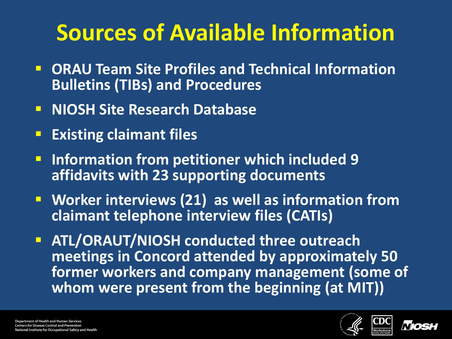## **Sources of Available Information**

- **DRAU Team Site Profiles and Technical Information Bulletins (TIBs) and Procedures**
- **NIOSH Site Research Database**
- **Existing claimant files**
- **Information from petitioner which included 9 affidavits with 23 supporting documents**
- **Worker interviews (21) as well as information from claimant telephone interview files (CATIs)**
- **ATL/ORAUT/NIOSH conducted three outreach meetings in Concord attended by approximately 50 former workers and company management (some of whom were present from the beginning (at MIT))**



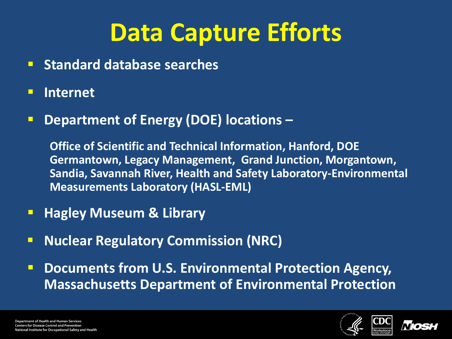# **Data Capture Efforts**

- **E** Standard database searches
- **Internet**
- **P Department of Energy (DOE) locations -**

**Office of Scientific and Technical Information, Hanford, DOE Germantown, Legacy Management, Grand Junction, Morgantown, Sandia, Savannah River, Health and Safety Laboratory-Environmental Measurements Laboratory (HASL-EML)**

- **Hagley Museum & Library**
- **Nuclear Regulatory Commission (NRC)**
- **P** Documents from U.S. Environmental Protection Agency, **Massachusetts Department of Environmental Protection**



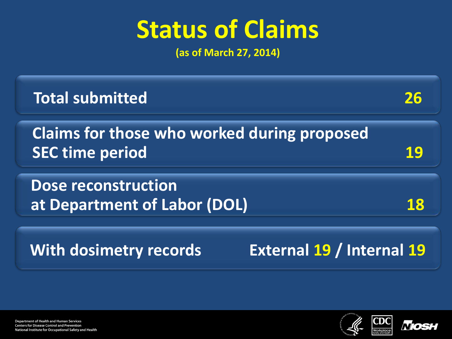## **Status of Claims**

**(as of March 27, 2014)** 

| Claims for those who worked during proposed |
|---------------------------------------------|
| at Department of Labor (DOL)                |
| External 19 / Internal 19                   |
|                                             |



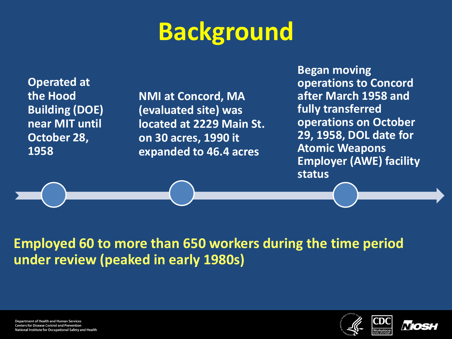# **Background**

**Operated at the Hood Building (DOE) near MIT until October 28, 1958**

**NMI at Concord, MA (evaluated site) was located at 2229 Main St. on 30 acres, 1990 it expanded to 46.4 acres**

**Began moving operations to Concord after March 1958 and fully transferred operations on October 29, 1958, DOL date for Atomic Weapons Employer (AWE) facility status**

**Employed 60 to more than 650 workers during the time period under review (peaked in early 1980s)**





**Department of Health and Human Services Centers for Disease Control and Prevention** National Institute for Occupational Safety and Health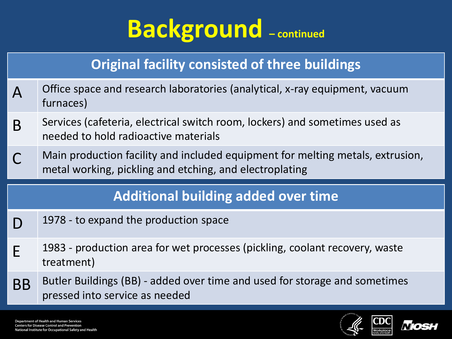## **Background – continued**

#### **Original facility consisted of three buildings**

- A Office space and research laboratories (analytical, x-ray equipment, vacuum furnaces)
- B Services (cafeteria, electrical switch room, lockers) and sometimes used as needed to hold radioactive materials
- Main production facility and included equipment for melting metals, extrusion, metal working, pickling and etching, and electroplating

#### **Additional building added over time**

- $\bigcap$  1978 to expand the production space
- $F = 1983$  production area for wet processes (pickling, coolant recovery, waste treatment)
- BB Butler Buildings (BB) added over time and used for storage and sometimes pressed into service as needed



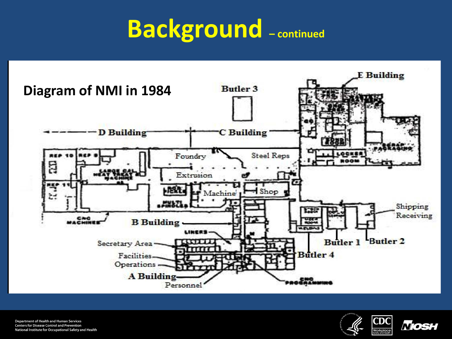## **Background – continued**



**Department of Health and Human Services Centers for Disease Control and Prevention** National Institute for Occupational Safety and Health

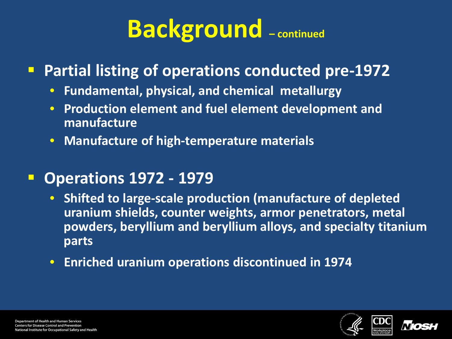# **Background – continued**

### **Partial listing of operations conducted pre-1972**

- **Fundamental, physical, and chemical metallurgy**
- **Production element and fuel element development and manufacture**
- **Manufacture of high-temperature materials**

### **Operations 1972 - 1979**

- **Shifted to large-scale production (manufacture of depleted uranium shields, counter weights, armor penetrators, metal powders, beryllium and beryllium alloys, and specialty titanium parts**
- **Enriched uranium operations discontinued in 1974**



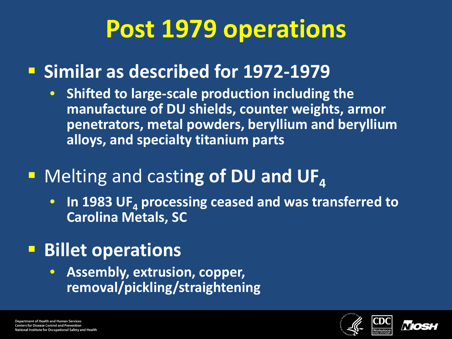## **Post 1979 operations**

### **F** Similar as described for 1972-1979

• **Shifted to large-scale production including the manufacture of DU shields, counter weights, armor penetrators, metal powders, beryllium and beryllium alloys, and specialty titanium parts**

### **E** Melting and casting of DU and UF<sub>4</sub>

• In 1983 UF<sub>4</sub> processing ceased and was transferred to **Carolina Metals, SC**

### **Billet operations**

• **Assembly, extrusion, copper, removal/pickling/straightening**



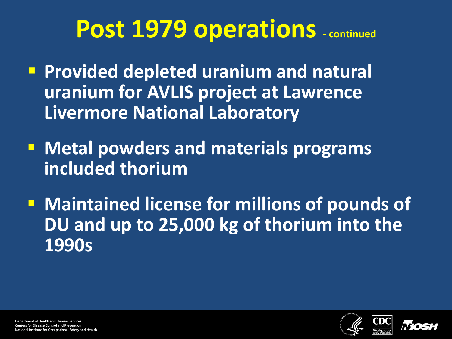### Post 1979 operations - continued

- **Provided depleted uranium and natural uranium for AVLIS project at Lawrence Livermore National Laboratory**
- **Metal powders and materials programs included thorium**
- **E** Maintained license for millions of pounds of **DU and up to 25,000 kg of thorium into the 1990s**



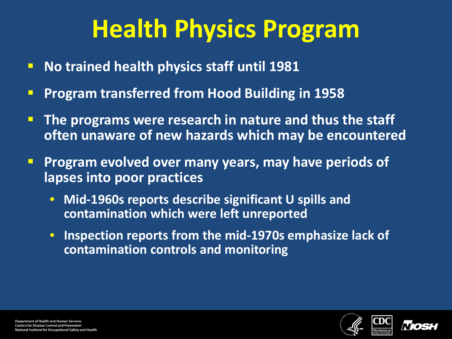# **Health Physics Program**

- **No trained health physics staff until 1981**
- **Program transferred from Hood Building in 1958**
- **The programs were research in nature and thus the staff often unaware of new hazards which may be encountered**
- **Program evolved over many years, may have periods of lapses into poor practices**
	- **Mid-1960s reports describe significant U spills and contamination which were left unreported**
	- **Inspection reports from the mid-1970s emphasize lack of contamination controls and monitoring**



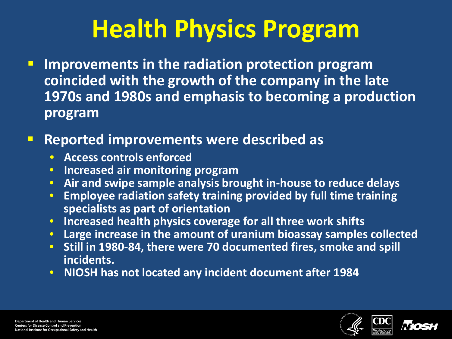# **Health Physics Program**

**IMPROVEMENTS in the radiation protection program coincided with the growth of the company in the late 1970s and 1980s and emphasis to becoming a production program**

#### **Reported improvements were described as**

- **Access controls enforced**
- **Increased air monitoring program**
- **Air and swipe sample analysis brought in-house to reduce delays**
- **Employee radiation safety training provided by full time training specialists as part of orientation**
- **Increased health physics coverage for all three work shifts**
- **Large increase in the amount of uranium bioassay samples collected**
- **Still in 1980-84, there were 70 documented fires, smoke and spill incidents.**
- **NIOSH has not located any incident document after 1984**



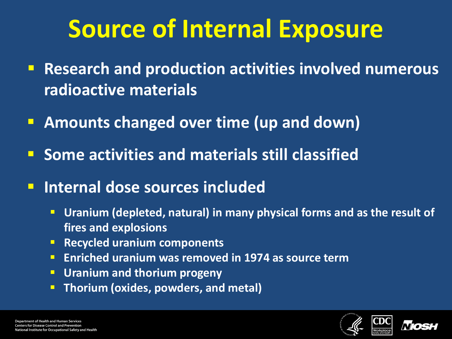# **Source of Internal Exposure**

- **Research and production activities involved numerous radioactive materials**
- **Amounts changed over time (up and down)**
- **E** Some activities and materials still classified
- **Internal dose sources included** 
	- **Uranium (depleted, natural) in many physical forms and as the result of fires and explosions**
	- **Recycled uranium components**
	- **Enriched uranium was removed in 1974 as source term**
	- **Uranium and thorium progeny**
	- **Thorium (oxides, powders, and metal)**



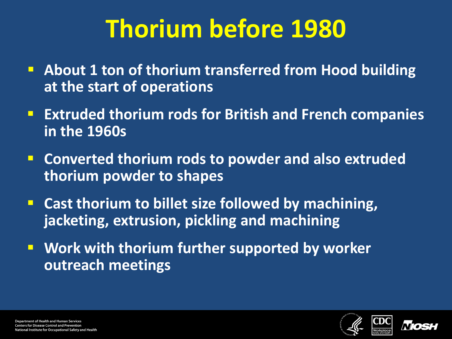# **Thorium before 1980**

- **About 1 ton of thorium transferred from Hood building at the start of operations**
- **Extruded thorium rods for British and French companies in the 1960s**
- **Converted thorium rods to powder and also extruded thorium powder to shapes**
- **E** Cast thorium to billet size followed by machining, **jacketing, extrusion, pickling and machining**
- **Work with thorium further supported by worker outreach meetings**



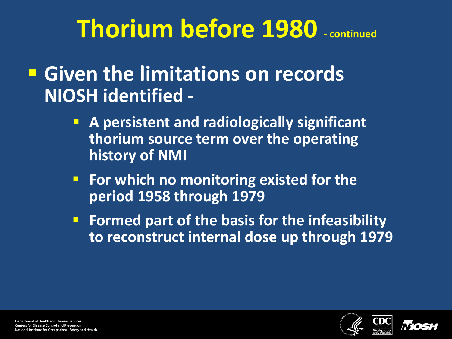## **Thorium before 1980 - continued**

### **Given the limitations on records NIOSH identified -**

- **A persistent and radiologically significant thorium source term over the operating history of NMI**
- **For which no monitoring existed for the period 1958 through 1979**
- **Formed part of the basis for the infeasibility to reconstruct internal dose up through 1979**



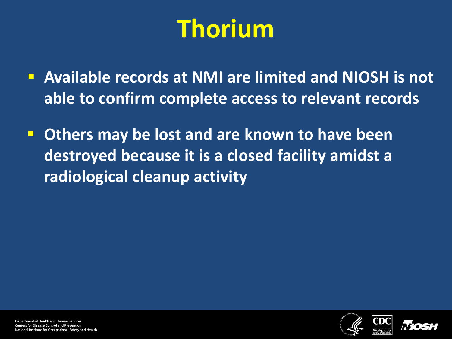# **Thorium**

- **Available records at NMI are limited and NIOSH is not able to confirm complete access to relevant records**
- **Others may be lost and are known to have been destroyed because it is a closed facility amidst a radiological cleanup activity**

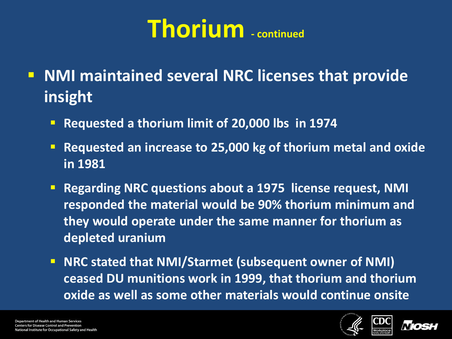- **NMI maintained several NRC licenses that provide insight**
	- **Requested a thorium limit of 20,000 lbs in 1974**
	- **Requested an increase to 25,000 kg of thorium metal and oxide in 1981**
	- **Regarding NRC questions about a 1975 license request, NMI responded the material would be 90% thorium minimum and they would operate under the same manner for thorium as depleted uranium**
	- **NRC stated that NMI/Starmet (subsequent owner of NMI) ceased DU munitions work in 1999, that thorium and thorium oxide as well as some other materials would continue onsite**

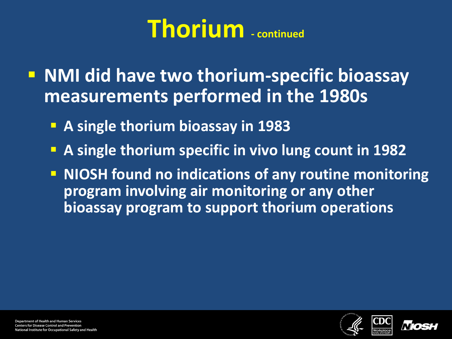**NMI did have two thorium-specific bioassay measurements performed in the 1980s**

- **A single thorium bioassay in 1983**
- **A single thorium specific in vivo lung count in 1982**
- **NIOSH found no indications of any routine monitoring program involving air monitoring or any other bioassay program to support thorium operations**

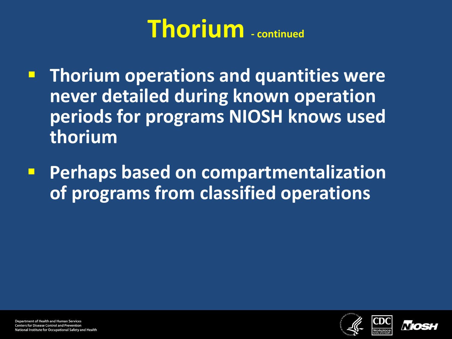- **Thorium operations and quantities were never detailed during known operation periods for programs NIOSH knows used thorium**
- **Perhaps based on compartmentalization of programs from classified operations**



**Department of Health and Human Services Centers for Disease Control and Prevention** National Institute for Occupational Safety and Health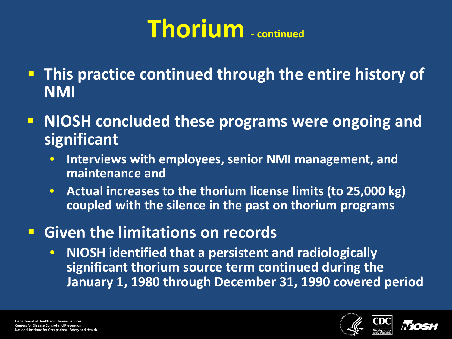- **This practice continued through the entire history of NMI**
- **NIOSH concluded these programs were ongoing and significant** 
	- **Interviews with employees, senior NMI management, and maintenance and**
	- **Actual increases to the thorium license limits (to 25,000 kg) coupled with the silence in the past on thorium programs**

### **Given the limitations on records**

• **NIOSH identified that a persistent and radiologically significant thorium source term continued during the January 1, 1980 through December 31, 1990 covered period**



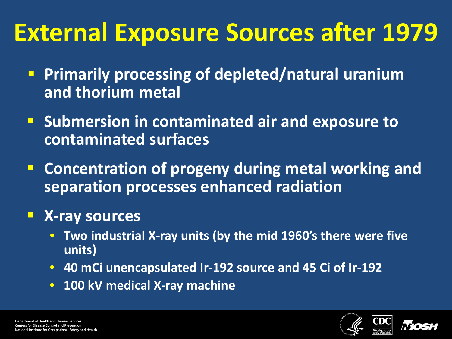# **External Exposure Sources after 1979**

- **Primarily processing of depleted/natural uranium and thorium metal**
- **Submersion in contaminated air and exposure to contaminated surfaces**
- **E** Concentration of progeny during metal working and **separation processes enhanced radiation**

### **X-ray sources**

- **Two industrial X-ray units (by the mid 1960's there were five units)**
- **40 mCi unencapsulated Ir-192 source and 45 Ci of Ir-192**
- **100 kV medical X-ray machine**



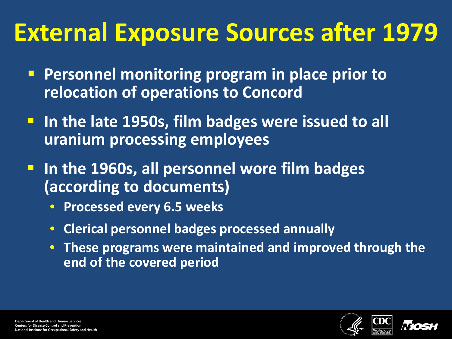# **External Exposure Sources after 1979**

- **Personnel monitoring program in place prior to relocation of operations to Concord**
- **Iomark 1950s, film badges were issued to all uranium processing employees**

 **In the 1960s, all personnel wore film badges (according to documents)**

- **Processed every 6.5 weeks**
- **Clerical personnel badges processed annually**
- **These programs were maintained and improved through the end of the covered period**



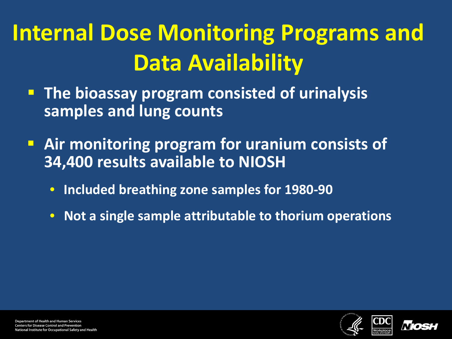# **Internal Dose Monitoring Programs and Data Availability**

- **The bioassay program consisted of urinalysis samples and lung counts**
- **Air monitoring program for uranium consists of 34,400 results available to NIOSH** 
	- **Included breathing zone samples for 1980-90**
	- **Not a single sample attributable to thorium operations**



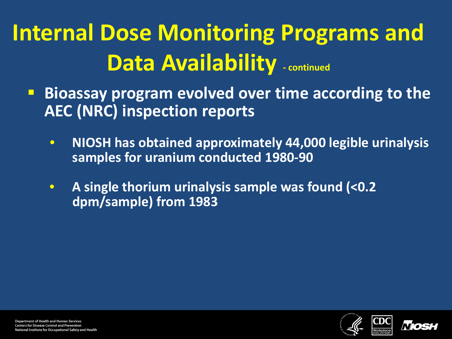# **Internal Dose Monitoring Programs and Data Availability - continued**

- **Bioassay program evolved over time according to the AEC (NRC) inspection reports**
	- **NIOSH has obtained approximately 44,000 legible urinalysis samples for uranium conducted 1980-90**
	- **A single thorium urinalysis sample was found (<0.2 dpm/sample) from 1983**



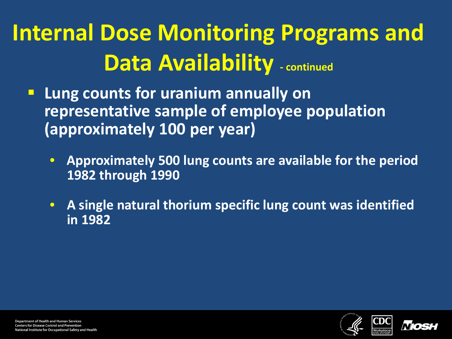# **Internal Dose Monitoring Programs and Data Availability - continued**

- **Lung counts for uranium annually on representative sample of employee population (approximately 100 per year)**
	- **Approximately 500 lung counts are available for the period 1982 through 1990**
	- **A single natural thorium specific lung count was identified in 1982**



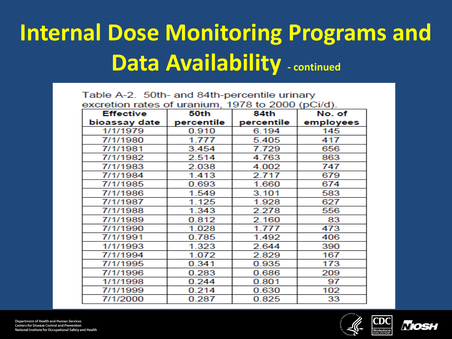## **Internal Dose Monitoring Programs and Data Availability - continued**

| Table A-2. 50th- and 84th-percentile urinary      |            |            |           |  |  |
|---------------------------------------------------|------------|------------|-----------|--|--|
| excretion rates of uranium, 1978 to 2000 (pCi/d). |            |            |           |  |  |
| <b>Effective</b>                                  | 50th       | 84th       | No. of    |  |  |
| bioassay date                                     | percentile | percentile | employees |  |  |
| 1/1/1979                                          | 0.910      | 6.194      | 145       |  |  |
| 7/1/1980                                          | 1.777      | 5.405      | 417       |  |  |
| 7/1/1981                                          | 3.454      | 7.729      | 656       |  |  |
| 7/1/1982                                          | 2.514      | 4.763      | 863       |  |  |
| 7/1/1983                                          | 2.038      | 4.002      | 747       |  |  |
| 7/1/1984                                          | 1.413      | 2.717      | 679       |  |  |
| 7/1/1985                                          | 0.693      | 1.660      | 674       |  |  |
| 7/1/1986                                          | 1.549      | 3.101      | 583       |  |  |
| 7/1/1987                                          | 1.125      | 1.928      | 627       |  |  |
| 7/1/1988                                          | 1.343      | 2.278      | 556       |  |  |
| 7/1/1989                                          | 0.812      | 2.160      | 83        |  |  |
| 7/1/1990                                          | 1.028      | 1.777      | 473       |  |  |
| 7/1/1991                                          | 0.785      | 1.492      | 406       |  |  |
| 1/1/1993                                          | 1.323      | 2.644      | 390       |  |  |
| 7/1/1994                                          | 1.072      | 2.829      | 167       |  |  |
| 7/1/1995                                          | 0.341      | 0.935      | 173       |  |  |
| 7/1/1996                                          | 0.283      | 0.686      | 209       |  |  |
| 1/1/1998                                          | 0.244      | 0.801      | 97        |  |  |
| 7/1/1999                                          | 0.214      | 0.630      | 102       |  |  |
| 7/1/2000                                          | 0.287      | 0.825      | 33        |  |  |

**Department of Health and Human Services Centers for Disease Control and Prevention** National Institute for Occupational Safety and Health



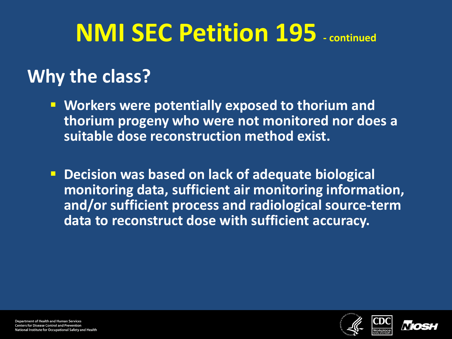# **NMI SEC Petition 195 - continued**

### **Why the class?**

- **Workers were potentially exposed to thorium and thorium progeny who were not monitored nor does a suitable dose reconstruction method exist.**
- **Decision was based on lack of adequate biological monitoring data, sufficient air monitoring information, and/or sufficient process and radiological source-term data to reconstruct dose with sufficient accuracy.**



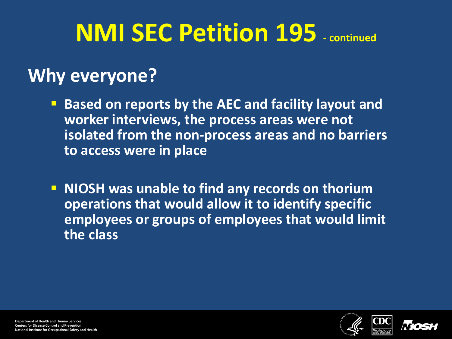# **NMI SEC Petition 195 - continued**

### **Why everyone?**

- **Based on reports by the AEC and facility layout and worker interviews, the process areas were not isolated from the non-process areas and no barriers to access were in place**
- **NIOSH was unable to find any records on thorium operations that would allow it to identify specific employees or groups of employees that would limit the class**





**Department of Health and Human Services Centers for Disease Control and Prevention** National Institute for Occupational Safety and Health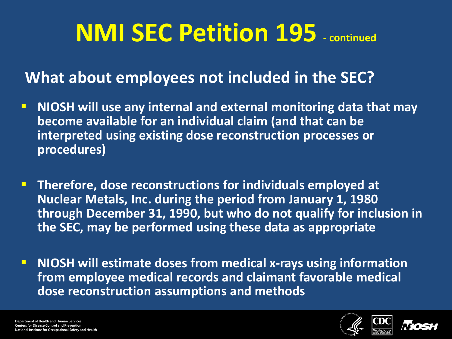# **NMI SEC Petition 195 - continued**

### **What about employees not included in the SEC?**

- **NIOSH will use any internal and external monitoring data that may become available for an individual claim (and that can be interpreted using existing dose reconstruction processes or procedures)**
- **Therefore, dose reconstructions for individuals employed at Nuclear Metals, Inc. during the period from January 1, 1980 through December 31, 1990, but who do not qualify for inclusion in the SEC, may be performed using these data as appropriate**
- **NIOSH will estimate doses from medical x-rays using information from employee medical records and claimant favorable medical dose reconstruction assumptions and methods**



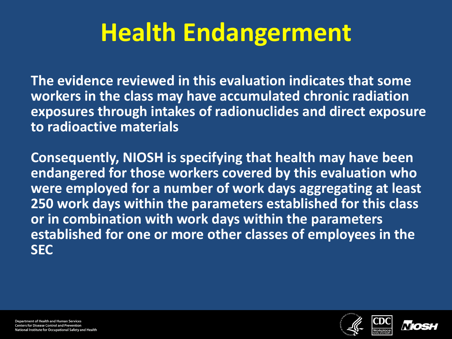# **Health Endangerment**

**The evidence reviewed in this evaluation indicates that some workers in the class may have accumulated chronic radiation exposures through intakes of radionuclides and direct exposure to radioactive materials**

**Consequently, NIOSH is specifying that health may have been endangered for those workers covered by this evaluation who were employed for a number of work days aggregating at least 250 work days within the parameters established for this class or in combination with work days within the parameters established for one or more other classes of employees in the SEC**



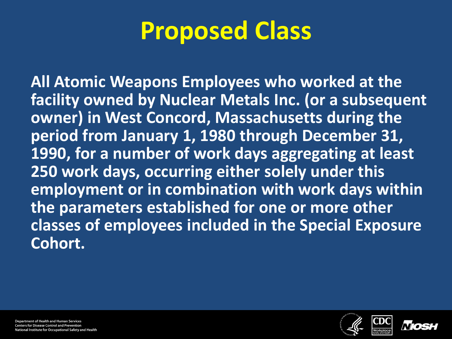## **Proposed Class**

**All Atomic Weapons Employees who worked at the facility owned by Nuclear Metals Inc. (or a subsequent owner) in West Concord, Massachusetts during the period from January 1, 1980 through December 31, 1990, for a number of work days aggregating at least 250 work days, occurring either solely under this employment or in combination with work days within the parameters established for one or more other classes of employees included in the Special Exposure Cohort.**